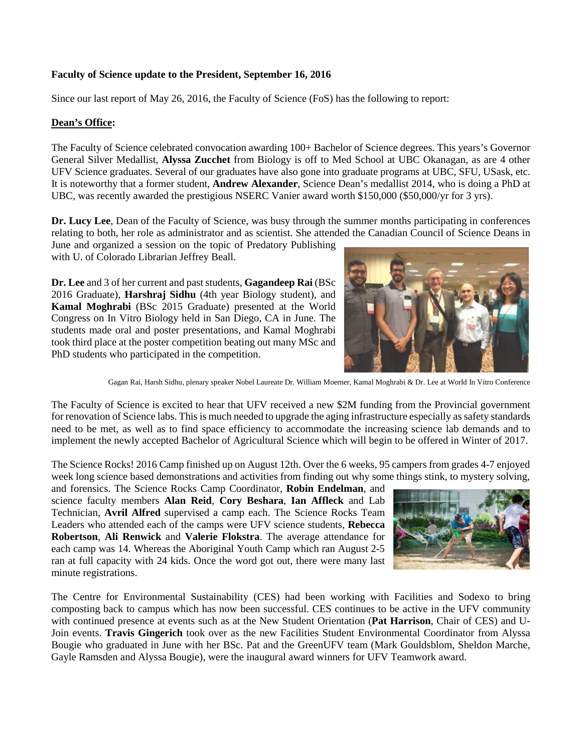## **Faculty of Science update to the President, September 16, 2016**

Since our last report of May 26, 2016, the Faculty of Science (FoS) has the following to report:

### **Dean's Office:**

The Faculty of Science celebrated convocation awarding 100+ Bachelor of Science degrees. This years's Governor General Silver Medallist, **Alyssa Zucchet** from Biology is off to Med School at UBC Okanagan, as are 4 other UFV Science graduates. Several of our graduates have also gone into graduate programs at UBC, SFU, USask, etc. It is noteworthy that a former student, **Andrew Alexander**, Science Dean's medallist 2014, who is doing a PhD at UBC, was recently awarded the prestigious NSERC Vanier award worth \$150,000 (\$50,000/yr for 3 yrs).

**Dr. Lucy Lee**, Dean of the Faculty of Science, was busy through the summer months participating in conferences relating to both, her role as administrator and as scientist. She attended the Canadian Council of Science Deans in

June and organized a session on the topic of Predatory Publishing with U. of Colorado Librarian Jeffrey Beall.

**Dr. Lee** and 3 of her current and past students, **Gagandeep Rai** (BSc 2016 Graduate), **Harshraj Sidhu** (4th year Biology student), and **Kamal Moghrabi** (BSc 2015 Graduate) presented at the [World](https://sivb.org/meetings/)  [Congress on In Vitro Biology](https://sivb.org/meetings/) held in San Diego, CA in June. The students made oral and poster presentations, and Kamal Moghrabi took third place at the poster competition beating out many MSc and PhD students who participated in the competition.



Gagan Rai, Harsh Sidhu, plenary speaker Nobel Laureate Dr. William Moerner, Kamal Moghrabi & Dr. Lee at World In Vitro Conference

The Faculty of Science is excited to hear that UFV received a new \$2M funding from the Provincial government for renovation of Science labs. This is much needed to upgrade the aging infrastructure especially assafety standards need to be met, as well as to find space efficiency to accommodate the increasing science lab demands and to implement the newly accepted Bachelor of Agricultural Science which will begin to be offered in Winter of 2017.

The Science Rocks! 2016 Camp finished up on August 12th. Over the 6 weeks, 95 campers from grades 4-7 enjoyed week long science based demonstrations and activities from finding out why some things stink, to mystery solving,

and forensics. The Science Rocks Camp Coordinator, **Robin Endelman**, and science faculty members **Alan Reid**, **Cory Beshara**, **Ian Affleck** and Lab Technician, **Avril Alfred** supervised a camp each. The Science Rocks Team Leaders who attended each of the camps were UFV science students, **Rebecca Robertson**, **Ali Renwick** and **Valerie Flokstra**. The average attendance for each camp was 14. Whereas the Aboriginal Youth Camp which ran August 2-5 ran at full capacity with 24 kids. Once the word got out, there were many last minute registrations.



The Centre for Environmental Sustainability (CES) had been working with Facilities and Sodexo to bring composting back to campus which has now been successful. CES continues to be active in the UFV community with continued presence at events such as at the New Student Orientation (**Pat Harrison**, Chair of CES) and U-Join events. **Travis Gingerich** took over as the new Facilities Student Environmental Coordinator from Alyssa Bougie who graduated in June with her BSc. Pat and the GreenUFV team (Mark Gouldsblom, Sheldon Marche, Gayle Ramsden and Alyssa Bougie), were the inaugural award winners for UFV Teamwork award.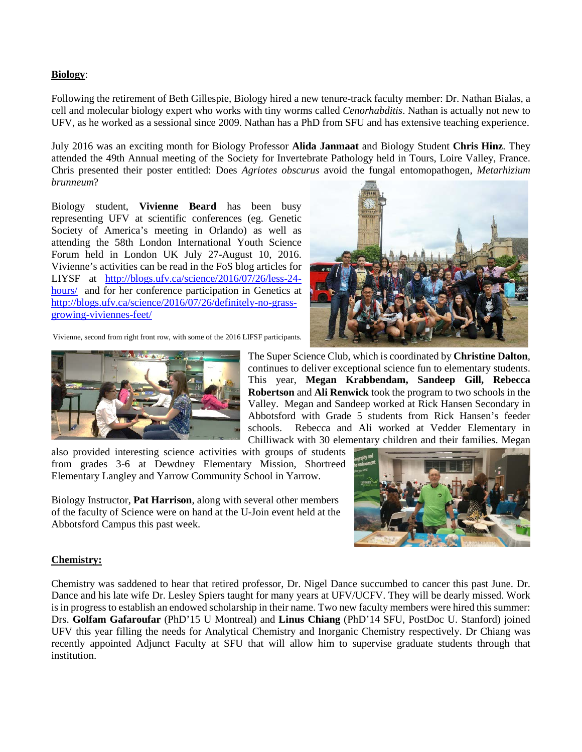## **Biology**:

Following the retirement of Beth Gillespie, Biology hired a new tenure-track faculty member: Dr. Nathan Bialas, a cell and molecular biology expert who works with tiny worms called *Cenorhabditis*. Nathan is actually not new to UFV, as he worked as a sessional since 2009. Nathan has a PhD from SFU and has extensive teaching experience.

July 2016 was an exciting month for Biology Professor **Alida Janmaat** and Biology Student **Chris Hinz**. They attended the 49th Annual meeting of the Society for Invertebrate Pathology held in Tours, Loire Valley, France. Chris presented their poster entitled: Does *Agriotes obscurus* avoid the fungal entomopathogen, *Metarhizium brunneum*?

Biology student, **Vivienne Beard** has been busy representing UFV at scientific conferences (eg. Genetic Society of America's meeting in Orlando) as well as attending the 58th London International Youth Science Forum held in London UK July 27-August 10, 2016. Vivienne's activities can be read in the FoS blog articles for LIYSF at [http://blogs.ufv.ca/science/2016/07/26/less-24](http://blogs.ufv.ca/science/2016/07/26/less-24-hours/) [hours/](http://blogs.ufv.ca/science/2016/07/26/less-24-hours/) and for her conference participation in Genetics at [http://blogs.ufv.ca/science/2016/07/26/definitely-no-grass](http://blogs.ufv.ca/science/2016/07/26/definitely-no-grass-growing-viviennes-feet/)[growing-viviennes-feet/](http://blogs.ufv.ca/science/2016/07/26/definitely-no-grass-growing-viviennes-feet/)

Vivienne, second from right front row, with some of the 2016 LIFSF participants.



The Super Science Club, which is coordinated by **Christine Dalton**, continues to deliver exceptional science fun to elementary students. This year, **Megan Krabbendam, Sandeep Gill, Rebecca Robertson** and **Ali Renwick** took the program to two schools in the Valley. Megan and Sandeep worked at Rick Hansen Secondary in Abbotsford with Grade 5 students from Rick Hansen's feeder schools. Rebecca and Ali worked at Vedder Elementary in Chilliwack with 30 elementary children and their families. Megan

also provided interesting science activities with groups of students from grades 3-6 at Dewdney Elementary Mission, Shortreed Elementary Langley and Yarrow Community School in Yarrow.

Biology Instructor, **Pat Harrison**, along with several other members of the faculty of Science were on hand at the U-Join event held at the Abbotsford Campus this past week.



#### **Chemistry:**

Chemistry was saddened to hear that retired professor, Dr. Nigel Dance succumbed to cancer this past June. Dr. Dance and his late wife Dr. Lesley Spiers taught for many years at UFV/UCFV. They will be dearly missed. Work is in progress to establish an endowed scholarship in their name. Two new faculty members were hired this summer: Drs. **Golfam Gafaroufar** (PhD'15 U Montreal) and **Linus Chiang** (PhD'14 SFU, PostDoc U. Stanford) joined UFV this year filling the needs for Analytical Chemistry and Inorganic Chemistry respectively. Dr Chiang was recently appointed Adjunct Faculty at SFU that will allow him to supervise graduate students through that institution.